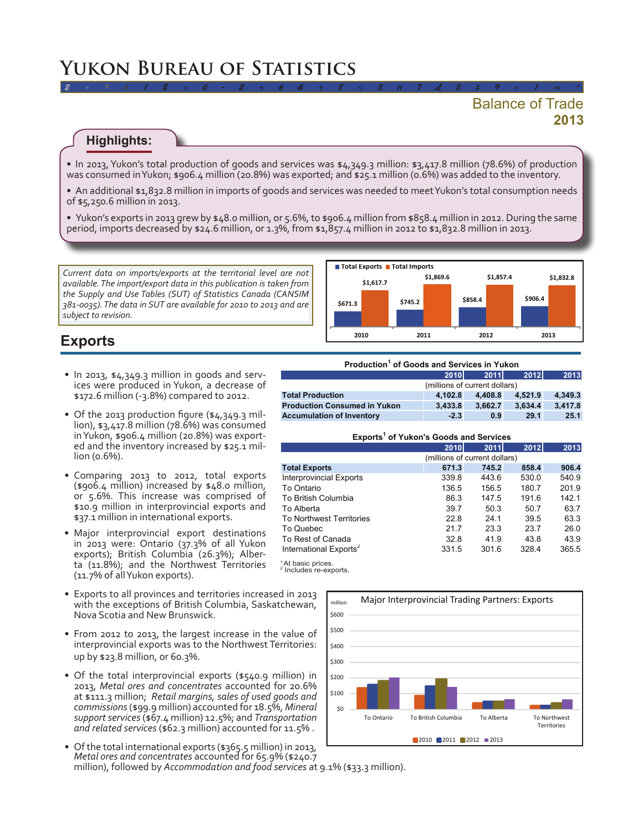# **Yukon Bureau of Statistics**

## **2013** Balance of Trade

#### **Highlights:**

• In 2013, Yukon's total production of goods and services was  $\frac{\epsilon}{4}$ ,349.3 million:  $\frac{\epsilon}{3}$ ,417.8 million (78.6%) of production was consumed in Yukon; \$906.4 million (20.8%) was exported; and \$25.1 million (0.6%) was added to the inventory.

*2 ÷ 9 # 1 \$ > 0 - 2 + 6 & ± 8 < 3 π 7 £ 5 ‡ 9 ≈ 1 ∞ ^*

- • An additional \$1,832.8 million in imports of goods and services was needed to meetYukon's total consumption needs of \$5,250.6 million in 2013.
- Yukon's exports in 2013 grew by \$48.0 million, or 5.6%, to \$906.4 million from \$858.4 million in 2012. During the same period, imports decreased by \$24.6 million, or 1.3%, from \$1,857.4 million in 2012 to \$1,832.8 million in 2013.

*Current data on imports/exports at the territorial level are not available. The import/export data in this publication is taken from the Supply and Use Tables (SUT) of Statistics Canada (CANSIM 381-0035). The data in SUT are available for 2010 to 2013 and are subject to revision.* 



## **Exports**

- • In 2013, \$4,349.3 million in goods and serv- ices were produced in Yukon, <sup>a</sup> decrease of \$172.6 million (-3.8%) compared to 2012.
- Of the 2013 production figure (\$4,349.3 million), \$3,417.8 million (78.6%) was consumed inYukon, \$906.4 million (20.8%) was exported and the inventory increased by \$25.1 million (0.6%).
- • Comparing 2013 to 2012, total exports (\$906.4 million) increased by \$48.0 million, or 5.6%. This increase was comprised of \$10.9 million in interprovincial exports and \$37.1 million in international exports.
- Major interprovincial export destinations in 2013 were: Ontario (37.3% of all Yukon exports); British Columbia (26.3%); Alberta (11.8%); and the Northwest Territories (11.7% of allYukon exports).
- Exports to all provinces and territories increased in 2013 with the exceptions of British Columbia, Saskatchewan, Nova Scotia and New Brunswick.
- From 2012 to 2013, the largest increase in the value of interprovincial exports was to the Northwest Territories: up by \$23.8 million, or 60.3%.
- Of the total interprovincial exports (\$540.9 million) in 2013, *Metal ores and concentrates* accounted for 20.6% at \$111.3 million; *Retail margins, sales of used goods and commissions*(\$99.9 million) accounted for 18.5%, *Mineral support services* (\$67.4 million) 12.5%; and *Transportation and related services* (\$62.3 million) accounted for 11.5% .
- • Ofthe total international exports (\$365.5 million) in 2013, *Metal ores and concentrates* accounted for 65.9% (\$240.7 million), followed by *Accommodation and food services* at 9.1% (\$33.3 million).

| Production <sup>1</sup> of Goods and Services in Yukon |         |             |                 |  |  |
|--------------------------------------------------------|---------|-------------|-----------------|--|--|
| <b>2010</b>                                            |         | <b>2012</b> | 2013            |  |  |
| (millions of current dollars)                          |         |             |                 |  |  |
| 4.102.8                                                | 4.408.8 | 4.521.9     | 4.349.3         |  |  |
| 3.433.8                                                |         | 3.634.4     | 3,417.8         |  |  |
| $-2.3$                                                 | 0.9     | 29.1        | 25.1            |  |  |
|                                                        |         |             | 2011<br>3.662.7 |  |  |

|  | Exports <sup>1</sup> of Yukon's Goods and Services |  |  |  |
|--|----------------------------------------------------|--|--|--|
|--|----------------------------------------------------|--|--|--|

|                                    | 2010                          | <b>2011</b> | 2012  | 2013  |  |
|------------------------------------|-------------------------------|-------------|-------|-------|--|
|                                    | (millions of current dollars) |             |       |       |  |
| <b>Total Exports</b>               | 671.3                         | 745.2       | 858.4 | 906.4 |  |
| <b>Interprovincial Exports</b>     | 339.8                         | 443.6       | 530.0 | 540.9 |  |
| To Ontario                         | 136.5                         | 156.5       | 180.7 | 201.9 |  |
| To British Columbia                | 86.3                          | 147.5       | 191.6 | 142.1 |  |
| To Alberta                         | 39.7                          | 50.3        | 50.7  | 63.7  |  |
| <b>To Northwest Territories</b>    | 22.8                          | 24.1        | 39.5  | 63.3  |  |
| To Quebec                          | 21.7                          | 23.3        | 23.7  | 26.0  |  |
| To Rest of Canada                  | 32.8                          | 41.9        | 43.8  | 43.9  |  |
| International Exports <sup>2</sup> | 331.5                         | 301.6       | 328.4 | 365.5 |  |

<sup>1</sup>At basic prices.<br><sup>2</sup> Includes re-exports.